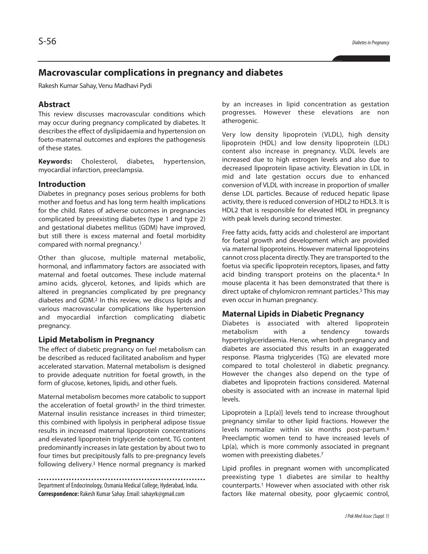# **Macrovascular complications in pregnancy and diabetes**

Rakesh Kumar Sahay, Venu Madhavi Pydi

#### **Abstract**

This review discusses macrovascular conditions which may occur during pregnancy complicated by diabetes. It describes the effect of dyslipidaemia and hypertension on foeto-maternal outcomes and explores the pathogenesis of these states.

**Keywords:** Cholesterol, diabetes, hypertension, myocardial infarction, preeclampsia.

#### **Introduction**

Diabetes in pregnancy poses serious problems for both mother and foetus and has long term health implications for the child. Rates of adverse outcomes in pregnancies complicated by preexisting diabetes (type 1 and type 2) and gestational diabetes mellitus (GDM) have improved, but still there is excess maternal and foetal morbidity compared with normal pregnancy. 1

Other than glucose, multiple maternal metabolic, hormonal, and inflammatory factors are associated with maternal and foetal outcomes. These include maternal amino acids, glycerol, ketones, and lipids which are altered in pregnancies complicated by pre pregnancy diabetes and GDM. <sup>2</sup> In this review, we discuss lipids and various macrovascular complications like hypertension and myocardial infarction complicating diabetic pregnancy.

#### **Lipid Metabolism in Pregnancy**

The effect of diabetic pregnancy on fuel metabolism can be described as reduced facilitated anabolism and hyper accelerated starvation. Maternal metabolism is designed to provide adequate nutrition for foetal growth, in the form of glucose, ketones, lipids, and other fuels.

Maternal metabolism becomes more catabolic to support the acceleration of foetal growth<sup>2</sup> in the third trimester. Maternal insulin resistance increases in third trimester; this combined with lipolysis in peripheral adipose tissue results in increased maternal lipoprotein concentrations and elevated lipoprotein triglyceride content. TG content predominantly increases in late gestation by about two to four times but precipitously falls to pre-pregnancy levels following delivery. <sup>3</sup> Hence normal pregnancy is marked

Department of Endocrinology, Osmania Medical College, Hyderabad, India. **Correspondence:** Rakesh KumarSahay.Email: sahayrk@gmail.com

by an increases in lipid concentration as gestation progresses. However these elevations are non atherogenic.

Very low density lipoprotein (VLDL), high density lipoprotein (HDL) and low density lipoprotein (LDL) content also increase in pregnancy. VLDL levels are increased due to high estrogen levels and also due to decreased lipoprotein lipase activity. Elevation in LDL in mid and late gestation occurs due to enhanced conversion of VLDL with increase in proportion of smaller dense LDL particles. Because of reduced hepatic lipase activity, there is reduced conversion of HDL2 to HDL3. It is HDL2 that is responsible for elevated HDL in pregnancy with peak levels during second trimester.

Free fatty acids, fatty acids and cholesterol are important for foetal growth and development which are provided via maternal lipoproteins. However maternal lipoproteins cannot cross placenta directly. They are transported to the foetus via specific lipoprotein receptors, lipases, and fatty acid binding transport proteins on the placenta. <sup>4</sup> In mouse placenta it has been demonstrated that there is direct uptake of chylomicron remnant particles. <sup>5</sup> This may even occur in human pregnancy.

#### **Maternal Lipids in Diabetic Pregnancy**

Diabetes is associated with altered lipoprotein metabolism with a tendency towards hypertriglyceridaemia. Hence, when both pregnancy and diabetes are associated this results in an exaggerated response. Plasma triglycerides (TG) are elevated more compared to total cholesterol in diabetic pregnancy. However the changes also depend on the type of diabetes and lipoprotein fractions considered. Maternal obesity is associated with an increase in maternal lipid levels.

Lipoprotein a [Lp(a)] levels tend to increase throughout pregnancy similar to other lipid fractions. However the levels normalize within six months post-partum. 6 Preeclamptic women tend to have increased levels of Lp(a), which is more commonly associated in pregnant women with preexisting diabetes. 7

Lipid profiles in pregnant women with uncomplicated preexisting type 1 diabetes are similar to healthy counterparts. <sup>1</sup> However when associated with other risk factors like maternal obesity, poor glycaemic control,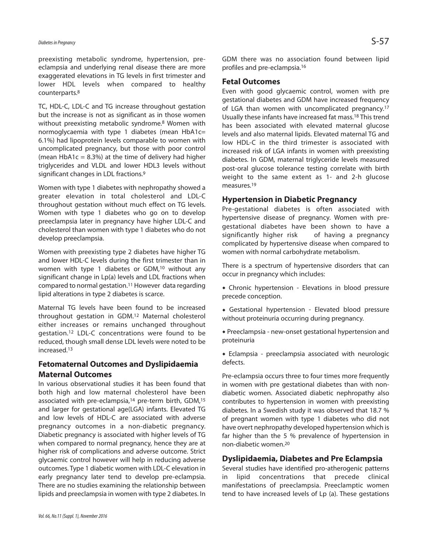preexisting metabolic syndrome, hypertension, preeclampsia and underlying renal disease there are more exaggerated elevations in TG levels in first trimester and lower HDL levels when compared to healthy counterparts. 8

TC, HDL-C, LDL-C and TG increase throughout gestation but the increase is not as significant as in those women without preexisting metabolic syndrome. <sup>8</sup> Women with normoglycaemia with type 1 diabetes (mean HbA1c= 6.1%) had lipoprotein levels comparable to women with uncomplicated pregnancy, but those with poor control (mean  $HbA1c = 8.3%$ ) at the time of delivery had higher triglycerides and VLDL and lower HDL3 levels without significant changes in LDL fractions.<sup>9</sup>

Women with type 1 diabetes with nephropathy showed a greater elevation in total cholesterol and LDL-C throughout gestation without much effect on TG levels. Women with type 1 diabetes who go on to develop preeclampsia later in pregnancy have higher LDL-C and cholesterol than women with type 1 diabetes who do not develop preeclampsia.

Women with preexisting type 2 diabetes have higher TG and lower HDL-C levels during the first trimester than in women with type 1 diabetes or GDM,<sup>10</sup> without any significant change in Lp(a) levels and LDL fractions when compared to normal gestation. <sup>11</sup> However data regarding lipid alterations in type 2 diabetes is scarce.

Maternal TG levels have been found to be increased throughout gestation in GDM. <sup>12</sup> Maternal cholesterol either increases or remains unchanged throughout gestation. <sup>12</sup> LDL-C concentrations were found to be reduced, though small dense LDL levels were noted to be increased. 13

## **Fetomaternal Outcomes and Dyslipidaemia Maternal Outcomes**

In various observational studies it has been found that both high and low maternal cholesterol have been associated with pre-eclampsia, <sup>14</sup> pre-term birth, GDM, 15 and larger for gestational age(LGA) infants. Elevated TG and low levels of HDL-C are associated with adverse pregnancy outcomes in a non-diabetic pregnancy. Diabetic pregnancy is associated with higher levels of TG when compared to normal pregnancy, hence they are at higher risk of complications and adverse outcome. Strict glycaemic control however will help in reducing adverse outcomes. Type 1 diabetic women with LDL-C elevation in early pregnancy later tend to develop pre-eclampsia. There are no studies examining the relationship between lipids and preeclampsia in women with type 2 diabetes. In GDM there was no association found between lipid profiles and pre-eclampsia. 16

#### **Fetal Outcomes**

Even with good glycaemic control, women with pre gestational diabetes and GDM have increased frequency of LGA than women with uncomplicated pregnancy.<sup>17</sup> Usually these infants have increased fat mass. <sup>18</sup> This trend has been associated with elevated maternal glucose levels and also maternal lipids. Elevated maternal TG and low HDL-C in the third trimester is associated with increased risk of LGA infants in women with preexisting diabetes. In GDM, maternal triglyceride levels measured post-oral glucose tolerance testing correlate with birth weight to the same extent as 1- and 2-h glucose measures. 19

### **Hypertension in Diabetic Pregnancy**

Pre-gestational diabetes is often associated with hypertensive disease of pregnancy. Women with pregestational diabetes have been shown to have a significantly higher risk of having a pregnancy complicated by hypertensive disease when compared to women with normal carbohydrate metabolism.

There is a spectrum of hypertensive disorders that can occur in pregnancy which includes:

- Chronic hypertension Elevations in blood pressure precede conception.
- Gestational hypertension Elevated blood pressure without proteinuria occurring during pregnancy.
- Preeclampsia new-onset gestational hypertension and proteinuria

 Eclampsia - preeclampsia associated with neurologic defects.

Pre-eclampsia occurs three to four times more frequently in women with pre gestational diabetes than with nondiabetic women. Associated diabetic nephropathy also contributes to hypertension in women with preexisting diabetes. In a Swedish study it was observed that 18.7 % of pregnant women with type 1 diabetes who did not have overt nephropathy developed hypertension which is far higher than the 5 % prevalence of hypertension in non-diabetic women. 20

### **Dyslipidaemia, Diabetes and Pre Eclampsia**

Several studies have identified pro-atherogenic patterns in lipid concentrations that precede clinical manifestations of preeclampsia. Preeclamptic women tend to have increased levels of Lp (a). These gestations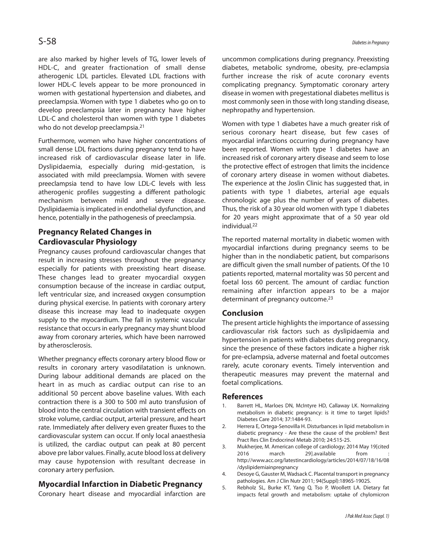are also marked by higher levels of TG, lower levels of HDL-C, and greater fractionation of small dense atherogenic LDL particles. Elevated LDL fractions with lower HDL-C levels appear to be more pronounced in women with gestational hypertension and diabetes, and preeclampsia. Women with type 1 diabetes who go on to develop preeclampsia later in pregnancy have higher LDL-C and cholesterol than women with type 1 diabetes who do not develop preeclampsia. 21

Furthermore, women who have higher concentrations of small dense LDL fractions during pregnancy tend to have increased risk of cardiovascular disease later in life. Dyslipidaemia, especially during mid-gestation, is associated with mild preeclampsia. Women with severe preeclampsia tend to have low LDL-C levels with less atherogenic profiles suggesting a different pathologic mechanism between mild and severe disease. Dyslipidaemia isimplicated in endothelial dysfunction, and hence, potentially in the pathogenesis of preeclampsia.

# **Pregnancy Related Changes in Cardiovascular Physiology**

Pregnancy causes profound cardiovascular changes that result in increasing stresses throughout the pregnancy especially for patients with preexisting heart disease. These changes lead to greater myocardial oxygen consumption because of the increase in cardiac output, left ventricular size, and increased oxygen consumption during physical exercise. In patients with coronary artery disease this increase may lead to inadequate oxygen supply to the myocardium. The fall in systemic vascular resistance that occurs in early pregnancy may shunt blood away from coronary arteries, which have been narrowed by atherosclerosis.

Whether pregnancy effects coronary artery blood flow or results in coronary artery vasodilatation is unknown. During labour additional demands are placed on the heart in as much as cardiac output can rise to an additional 50 percent above baseline values. With each contraction there is a 300 to 500 ml auto transfusion of blood into the central circulation with transient effects on stroke volume, cardiac output, arterial pressure, and heart rate. Immediately after delivery even greater fluxes to the cardiovascular system can occur. If only local anaesthesia is utilized, the cardiac output can peak at 80 percent above pre labor values. Finally, acute blood loss at delivery may cause hypotension with resultant decrease in coronary artery perfusion.

## **Myocardial Infarction in Diabetic Pregnancy**

Coronary heart disease and myocardial infarction are

uncommon complications during pregnancy. Preexisting diabetes, metabolic syndrome, obesity, pre-eclampsia further increase the risk of acute coronary events complicating pregnancy. Symptomatic coronary artery disease in women with pregestational diabetes mellitus is most commonly seen in those with long standing disease, nephropathy and hypertension.

Women with type 1 diabetes have a much greater risk of serious coronary heart disease, but few cases of myocardial infarctions occurring during pregnancy have been reported. Women with type 1 diabetes have an increased risk of coronary artery disease and seem to lose the protective effect of estrogen that limits the incidence of coronary artery disease in women without diabetes. The experience at the Joslin Clinic has suggested that, in patients with type 1 diabetes, arterial age equals chronologic age plus the number of years of diabetes. Thus, the risk of a 30 year old women with type 1 diabetes for 20 years might approximate that of a 50 year old individual. 22

The reported maternal mortality in diabetic women with myocardial infarctions during pregnancy seems to be higher than in the nondiabetic patient, but comparisons are difficult given the small number of patients. Of the 10 patients reported, maternal mortality was 50 percent and foetal loss 60 percent. The amount of cardiac function remaining after infarction appears to be a major determinant of pregnancy outcome. 23

## **Conclusion**

The present article highlights the importance of assessing cardiovascular risk factors such as dyslipidaemia and hypertension in patients with diabetes during pregnancy, since the presence of these factors indicate a higher risk for pre-eclampsia, adverse maternal and foetal outcomes rarely, acute coronary events. Timely intervention and therapeutic measures may prevent the maternal and foetal complications.

### **References**

- 1. Barrett HL, Marloes DN, McIntyre HD, Callaway LK. Normalizing metabolism in diabetic pregnancy: is it time to target lipids? Diabetes Care 2014; 37:1484-93.
- 2. Herrera E, Ortega-Senovilla H. Disturbances in lipid metabolism in diabetic pregnancy - Are these the cause of the problem? Best Pract Res Clin Endocrinol Metab 2010; 24:515-25.
- 3. Mukherjee, M. American college of cardiology; 2014 May 19[cited 2016 march 29].available from http://www.acc.org/latestincardiology/articles/2014/07/18/16/08 /dyslipidemiainpregnancy
- 4. Desoye G, Gauster M, Wadsack C. Placental transport in pregnancy pathologies. Am J Clin Nutr 2011; 94(Suppl):1896S-1902S.
- 5. Rebholz SL, Burke KT, Yang Q, Tso P, Woollett LA. Dietary fat impacts fetal growth and metabolism: uptake of chylomicron